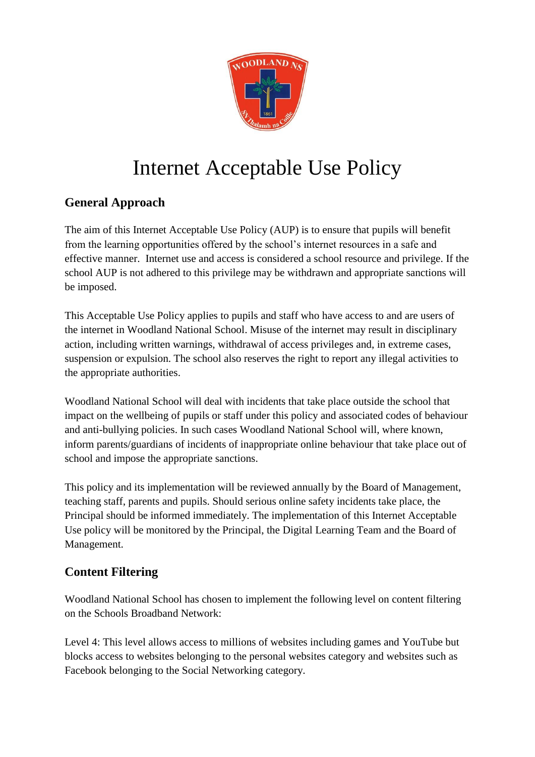

# Internet Acceptable Use Policy

# **General Approach**

The aim of this Internet Acceptable Use Policy (AUP) is to ensure that pupils will benefit from the learning opportunities offered by the school's internet resources in a safe and effective manner. Internet use and access is considered a school resource and privilege. If the school AUP is not adhered to this privilege may be withdrawn and appropriate sanctions will be imposed.

This Acceptable Use Policy applies to pupils and staff who have access to and are users of the internet in Woodland National School. Misuse of the internet may result in disciplinary action, including written warnings, withdrawal of access privileges and, in extreme cases, suspension or expulsion. The school also reserves the right to report any illegal activities to the appropriate authorities.

Woodland National School will deal with incidents that take place outside the school that impact on the wellbeing of pupils or staff under this policy and associated codes of behaviour and anti-bullying policies. In such cases Woodland National School will, where known, inform parents/guardians of incidents of inappropriate online behaviour that take place out of school and impose the appropriate sanctions.

This policy and its implementation will be reviewed annually by the Board of Management, teaching staff, parents and pupils. Should serious online safety incidents take place, the Principal should be informed immediately. The implementation of this Internet Acceptable Use policy will be monitored by the Principal, the Digital Learning Team and the Board of Management.

# **Content Filtering**

Woodland National School has chosen to implement the following level on content filtering on the Schools Broadband Network:

Level 4: This level allows access to millions of websites including games and YouTube but blocks access to websites belonging to the personal websites category and websites such as Facebook belonging to the Social Networking category.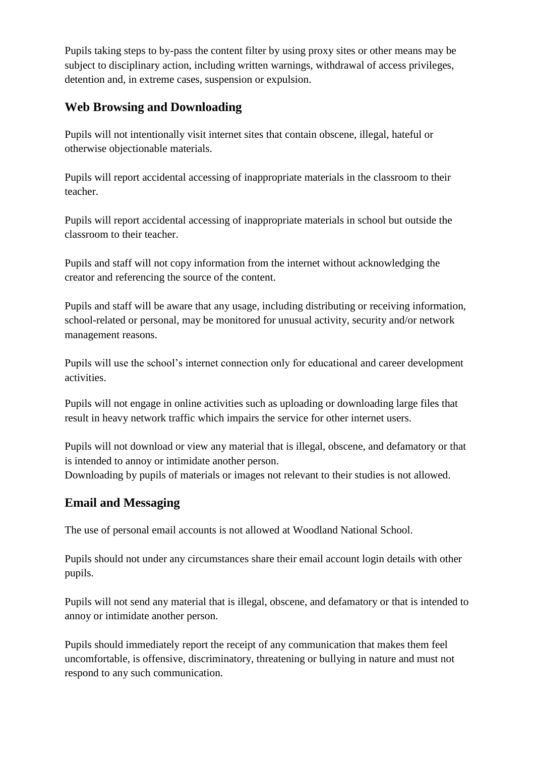Pupils taking steps to by-pass the content filter by using proxy sites or other means may be subject to disciplinary action, including written warnings, withdrawal of access privileges, detention and, in extreme cases, suspension or expulsion.

## **Web Browsing and Downloading**

Pupils will not intentionally visit internet sites that contain obscene, illegal, hateful or otherwise objectionable materials.

Pupils will report accidental accessing of inappropriate materials in the classroom to their teacher.

Pupils will report accidental accessing of inappropriate materials in school but outside the classroom to their teacher.

Pupils and staff will not copy information from the internet without acknowledging the creator and referencing the source of the content.

Pupils and staff will be aware that any usage, including distributing or receiving information, school-related or personal, may be monitored for unusual activity, security and/or network management reasons.

Pupils will use the school's internet connection only for educational and career development activities.

Pupils will not engage in online activities such as uploading or downloading large files that result in heavy network traffic which impairs the service for other internet users.

Pupils will not download or view any material that is illegal, obscene, and defamatory or that is intended to annoy or intimidate another person. Downloading by pupils of materials or images not relevant to their studies is not allowed.

# **Email and Messaging**

The use of personal email accounts is not allowed at Woodland National School.

Pupils should not under any circumstances share their email account login details with other pupils.

Pupils will not send any material that is illegal, obscene, and defamatory or that is intended to annoy or intimidate another person.

Pupils should immediately report the receipt of any communication that makes them feel uncomfortable, is offensive, discriminatory, threatening or bullying in nature and must not respond to any such communication.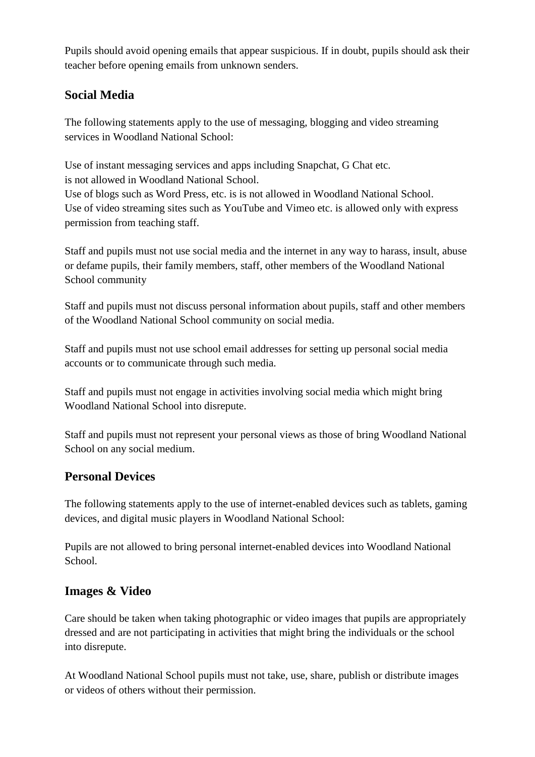Pupils should avoid opening emails that appear suspicious. If in doubt, pupils should ask their teacher before opening emails from unknown senders.

## **Social Media**

The following statements apply to the use of messaging, blogging and video streaming services in Woodland National School:

Use of instant messaging services and apps including Snapchat, G Chat etc. is not allowed in Woodland National School.

Use of blogs such as Word Press, etc. is is not allowed in Woodland National School. Use of video streaming sites such as YouTube and Vimeo etc. is allowed only with express permission from teaching staff.

Staff and pupils must not use social media and the internet in any way to harass, insult, abuse or defame pupils, their family members, staff, other members of the Woodland National School community

Staff and pupils must not discuss personal information about pupils, staff and other members of the Woodland National School community on social media.

Staff and pupils must not use school email addresses for setting up personal social media accounts or to communicate through such media.

Staff and pupils must not engage in activities involving social media which might bring Woodland National School into disrepute.

Staff and pupils must not represent your personal views as those of bring Woodland National School on any social medium.

## **Personal Devices**

The following statements apply to the use of internet-enabled devices such as tablets, gaming devices, and digital music players in Woodland National School:

Pupils are not allowed to bring personal internet-enabled devices into Woodland National School.

## **Images & Video**

Care should be taken when taking photographic or video images that pupils are appropriately dressed and are not participating in activities that might bring the individuals or the school into disrepute.

At Woodland National School pupils must not take, use, share, publish or distribute images or videos of others without their permission.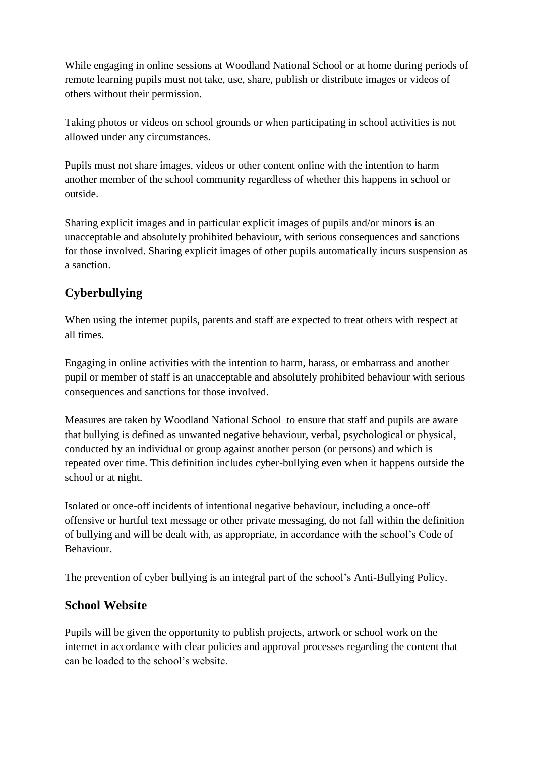While engaging in online sessions at Woodland National School or at home during periods of remote learning pupils must not take, use, share, publish or distribute images or videos of others without their permission.

Taking photos or videos on school grounds or when participating in school activities is not allowed under any circumstances.

Pupils must not share images, videos or other content online with the intention to harm another member of the school community regardless of whether this happens in school or outside.

Sharing explicit images and in particular explicit images of pupils and/or minors is an unacceptable and absolutely prohibited behaviour, with serious consequences and sanctions for those involved. Sharing explicit images of other pupils automatically incurs suspension as a sanction.

# **Cyberbullying**

When using the internet pupils, parents and staff are expected to treat others with respect at all times.

Engaging in online activities with the intention to harm, harass, or embarrass and another pupil or member of staff is an unacceptable and absolutely prohibited behaviour with serious consequences and sanctions for those involved.

Measures are taken by Woodland National School to ensure that staff and pupils are aware that bullying is defined as unwanted negative behaviour, verbal, psychological or physical, conducted by an individual or group against another person (or persons) and which is repeated over time. This definition includes cyber-bullying even when it happens outside the school or at night.

Isolated or once-off incidents of intentional negative behaviour, including a once-off offensive or hurtful text message or other private messaging, do not fall within the definition of bullying and will be dealt with, as appropriate, in accordance with the school's Code of Behaviour.

The prevention of cyber bullying is an integral part of the school's Anti-Bullying Policy.

## **School Website**

Pupils will be given the opportunity to publish projects, artwork or school work on the internet in accordance with clear policies and approval processes regarding the content that can be loaded to the school's website.